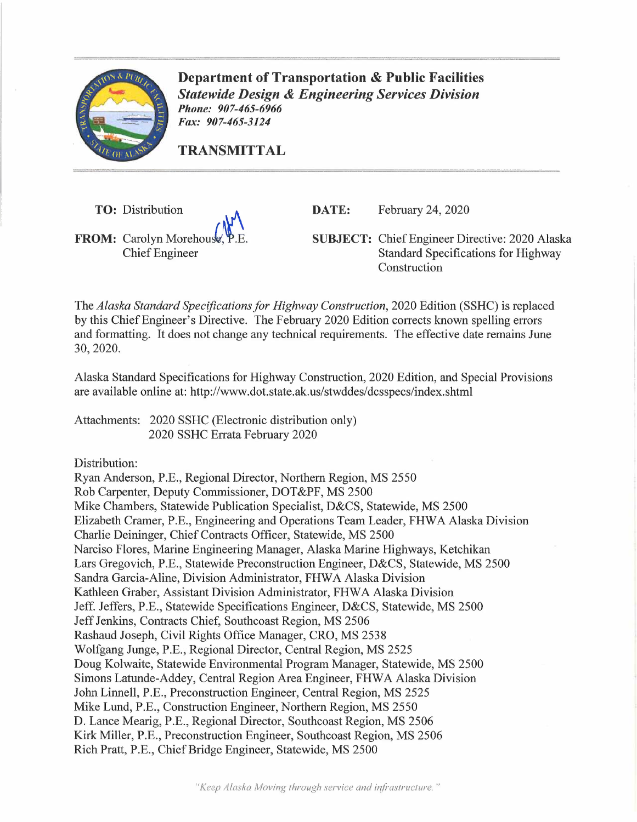

**Department of Transportation** & **Public Facilities**  *Statewide Design* & *Engineering Services Division Phone: 907-465-6966 Fax: 907-465-3124* 

**TRANSMITTAL** 

**TO:** Distribution  $\mathbf{A}$  $$ Chief Engineer

**DATE:** February 24, 2020

**SUBJECT:** Chief Engineer Directive: 2020 Alaska Standard Specifications for Highway Construction

The *Alaska Standard Specifications for Highway Construction,* 2020 Edition (SSHC) is replaced by this Chief Engineer's Directive. The February 2020 Edition corrects known spelling errors and formatting. It does not change any technical requirements. The effective date remains June 30, 2020.

Alaska Standard Specifications for Highway Construction, 2020 Edition, and Special Provisions are available online at: http://www.dot.state.ak.us/stwddes/dcsspecs/index.shtml

Attachments: 2020 SSHC (Electronic distribution only) 2020 SSHC Errata February 2020

Distribution:

Ryan Anderson, P.E., Regional Director, Northern Region, MS 2550 Rob Carpenter, Deputy Commissioner, DOT&PF, MS 2500 Mike Chambers, Statewide Publication Specialist, D&CS, Statewide, MS 2500 Elizabeth Cramer, P.E., Engineering and Operations Team Leader, FHWA Alaska Division Charlie Deininger, Chief Contracts Officer, Statewide, MS 2500 Narciso Flores, Marine Engineering Manager, Alaska Marine Highways, Ketchikan Lars Gregovich, P.E., Statewide Preconstruction Engineer, D&CS, Statewide, MS 2500 Sandra Garcia-Aline, Division Administrator, FHWA Alaska Division Kathleen Graber, Assistant Division Administrator, FHW A Alaska Division Jeff. Jeffers, P.E., Statewide Specifications Engineer, D&CS, Statewide, MS 2500 Jeff Jenkins, Contracts Chief, Southcoast Region, MS 2506 Rashaud Joseph, Civil Rights Office Manager, CRO, MS 2538 Wolfgang Junge, P.E., Regional Director, Central Region, MS 2525 Doug Kolwaite, Statewide Environmental Program Manager, Statewide, MS 2500 Simons Latunde-Addey, Central Region Area Engineer, FHWA Alaska Division John Linnell, P.E., Preconstruction Engineer, Central Region, MS 2525 Mike Lund, P.E., Construction Engineer, Northern Region, MS 2550 D. Lance Mearig, P.E., Regional Director, Southcoast Region, MS 2506 Kirk Miller, P.E., Preconstruction Engineer, Southcoast Region, MS 2506 Rich Pratt, P.E., Chief Bridge Engineer, Statewide, MS 2500